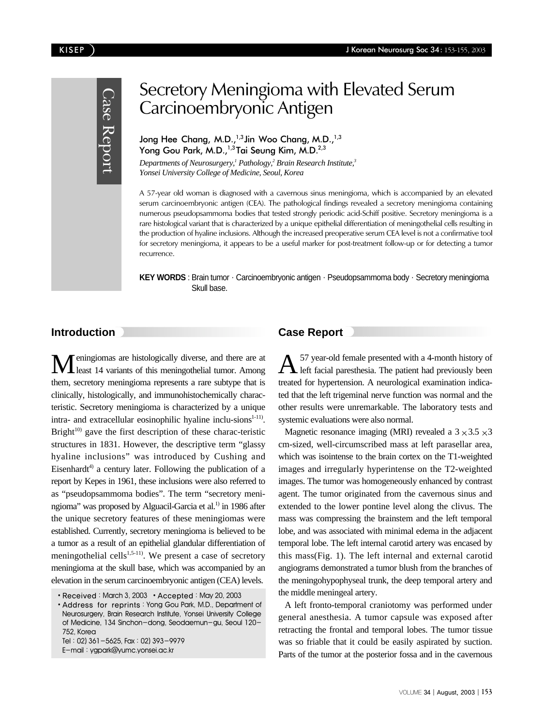

# Secretory Meningioma with Elevated Serum Carcinoembryonic Antigen

Jong Hee Chang, M.D.,<sup>1,3</sup> Jin Woo Chang, M.D.,<sup>1,3</sup> Yong Gou Park, M.D.,<sup>1,3</sup>Tai Seung Kim, M.D.<sup>2,3</sup>

*Departments of Neurosurgery,1 Pathology,2 Brain Research Institute,3 Yonsei University College of Medicine, Seoul, Korea*

A 57-year old woman is diagnosed with a cavernous sinus meningioma, which is accompanied by an elevated serum carcinoembryonic antigen (CEA). The pathological findings revealed a secretory meningioma containing numerous pseudopsammoma bodies that tested strongly periodic acid-Schiff positive. Secretory meningioma is a rare histological variant that is characterized by a unique epithelial differentiation of meningothelial cells resulting in the production of hyaline inclusions. Although the increased preoperative serum CEA level is not a confirmative tool for secretory meningioma, it appears to be a useful marker for post-treatment follow-up or for detecting a tumor recurrence.

**KEY WORDS** : Brain tumor · Carcinoembryonic antigen · Pseudopsammoma body · Secretory meningioma Skull base.

## **Introduction**

Meningiomas are histologically diverse, and there are at least 14 variants of this meningothelial tumor. Among them, secretory meningioma represents a rare subtype that is clinically, histologically, and immunohistochemically characteristic. Secretory meningioma is characterized by a unique intra- and extracellular eosinophilic hyaline inclu-sions<sup>1-11)</sup>. Bright $^{10)}$  gave the first description of these charac-teristic structures in 1831. However, the descriptive term "glassy hyaline inclusions" was introduced by Cushing and Eisenhardt<sup>4)</sup> a century later. Following the publication of a report by Kepes in 1961, these inclusions were also referred to as "pseudopsammoma bodies". The term "secretory meningioma" was proposed by Alguacil-Garcia et al.<sup>1)</sup> in 1986 after the unique secretory features of these meningiomas were established. Currently, secretory meningioma is believed to be a tumor as a result of an epithelial glandular differentiation of meningothelial cells<sup>1,5-11)</sup>. We present a case of secretory meningioma at the skull base, which was accompanied by an elevation in the serum carcinoembryonic antigen (CEA) levels.

Tel:02) 361-5625, Fax:02) 393-9979 E-mail:ygpark@yumc.yonsei.ac.kr

# **Case Report**

 $A$ <sup>57</sup> year-old female presented with a 4-month history of left facial paresthesia. The patient had previously been treated for hypertension. A neurological examination indicated that the left trigeminal nerve function was normal and the other results were unremarkable. The laboratory tests and systemic evaluations were also normal.

Magnetic resonance imaging (MRI) revealed a  $3 \times 3.5 \times 3$ cm-sized, well-circumscribed mass at left parasellar area, which was isointense to the brain cortex on the T1-weighted images and irregularly hyperintense on the T2-weighted images. The tumor was homogeneously enhanced by contrast agent. The tumor originated from the cavernous sinus and extended to the lower pontine level along the clivus. The mass was compressing the brainstem and the left temporal lobe, and was associated with minimal edema in the adjacent temporal lobe. The left internal carotid artery was encased by this mass(Fig. 1). The left internal and external carotid angiograms demonstrated a tumor blush from the branches of the meningohypophyseal trunk, the deep temporal artery and the middle meningeal artery.

A left fronto-temporal craniotomy was performed under general anesthesia. A tumor capsule was exposed after retracting the frontal and temporal lobes. The tumor tissue was so friable that it could be easily aspirated by suction. Parts of the tumor at the posterior fossa and in the cavernous

<sup>•</sup> Received: March 3, 2003 • Accepted: May 20, 2003

Address for reprints:Yong Gou Park, M.D., Department of Neurosurgery, Brain Research Institute, Yonsei University College of Medicine, 134 Sinchon-dong, Seodaemun-gu, Seoul 120- 752, Korea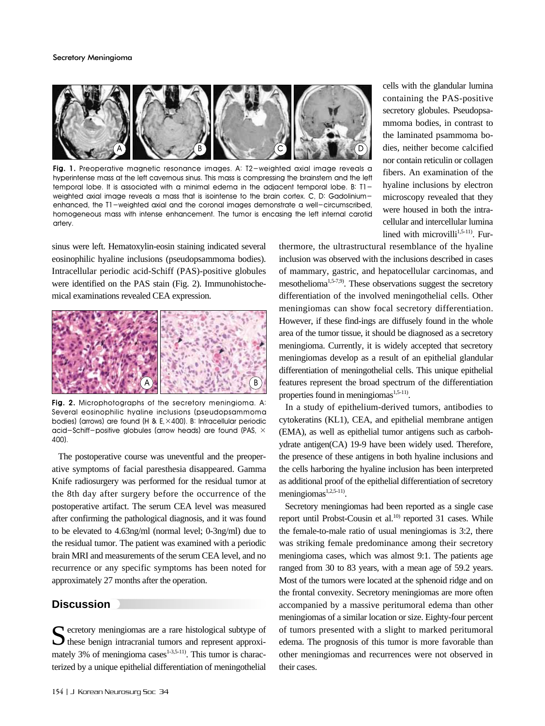

**Fig. 1.** Preoperative magnetic resonance images. A: T2-weighted axial image reveals a hyperintense mass at the left cavernous sinus. This mass is compressing the brainstem and the left temporal lobe. It is associated with a minimal edema in the adjacent temporal lobe. B: T1 weighted axial image reveals a mass that is isointense to the brain cortex. C, D: Gadoliniumenhanced, the T1-weighted axial and the coronal images demonstrate a well-circumscribed, homogeneous mass with intense enhancement. The tumor is encasing the left internal carotid artery.

sinus were left. Hematoxylin-eosin staining indicated several eosinophilic hyaline inclusions (pseudopsammoma bodies). Intracellular periodic acid-Schiff (PAS)-positive globules were identified on the PAS stain (Fig. 2). Immunohistochemical examinations revealed CEA expression.



**Fig. 2.** Microphotographs of the secretory meningioma. A: Several eosinophilic hyaline inclusions (pseudopsammoma bodies) (arrows) are found (H & E,×400). B: Intracellular periodic acid-Schiff-positive globules (arrow heads) are found (PAS,  $\times$ 400).

The postoperative course was uneventful and the preoperative symptoms of facial paresthesia disappeared. Gamma Knife radiosurgery was performed for the residual tumor at the 8th day after surgery before the occurrence of the postoperative artifact. The serum CEA level was measured after confirming the pathological diagnosis, and it was found to be elevated to 4.63ng/ml (normal level; 0-3ng/ml) due to the residual tumor. The patient was examined with a periodic brain MRI and measurements of the serum CEA level, and no recurrence or any specific symptoms has been noted for approximately 27 months after the operation.

### **Discussion**

Secretory meningiomas are a rare histological subtype of these benign intracranial tumors and represent approximately 3% of meningioma cases $1-3,5-11$ ). This tumor is characterized by a unique epithelial differentiation of meningothelial

thermore, the ultrastructural resemblance of the hyaline inclusion was observed with the inclusions described in cases of mammary, gastric, and hepatocellular carcinomas, and mesothelioma1,5-7,9). These observations suggest the secretory differentiation of the involved meningothelial cells. Other meningiomas can show focal secretory differentiation. However, if these find-ings are diffusely found in the whole area of the tumor tissue, it should be diagnosed as a secretory meningioma. Currently, it is widely accepted that secretory meningiomas develop as a result of an epithelial glandular differentiation of meningothelial cells. This unique epithelial features represent the broad spectrum of the differentiation properties found in meningiomas<sup>1,5-11)</sup>.

cells with the glandular lumina containing the PAS-positive secretory globules. Pseudopsammoma bodies, in contrast to the laminated psammoma bodies, neither become calcified nor contain reticulin or collagen fibers. An examination of the hyaline inclusions by electron microscopy revealed that they were housed in both the intracellular and intercellular lumina lined with microvilli $1,5-11$ ). Fur-

In a study of epithelium-derived tumors, antibodies to cytokeratins (KL1), CEA, and epithelial membrane antigen (EMA), as well as epithelial tumor antigens such as carbohydrate antigen(CA) 19-9 have been widely used. Therefore, the presence of these antigens in both hyaline inclusions and the cells harboring the hyaline inclusion has been interpreted as additional proof of the epithelial differentiation of secretory meningiomas<sup>1,2,5-11)</sup>.

Secretory meningiomas had been reported as a single case report until Probst-Cousin et al.<sup>10)</sup> reported 31 cases. While the female-to-male ratio of usual meningiomas is 3:2, there was striking female predominance among their secretory meningioma cases, which was almost 9:1. The patients age ranged from 30 to 83 years, with a mean age of 59.2 years. Most of the tumors were located at the sphenoid ridge and on the frontal convexity. Secretory meningiomas are more often accompanied by a massive peritumoral edema than other meningiomas of a similar location or size. Eighty-four percent of tumors presented with a slight to marked peritumoral edema. The prognosis of this tumor is more favorable than other meningiomas and recurrences were not observed in their cases.